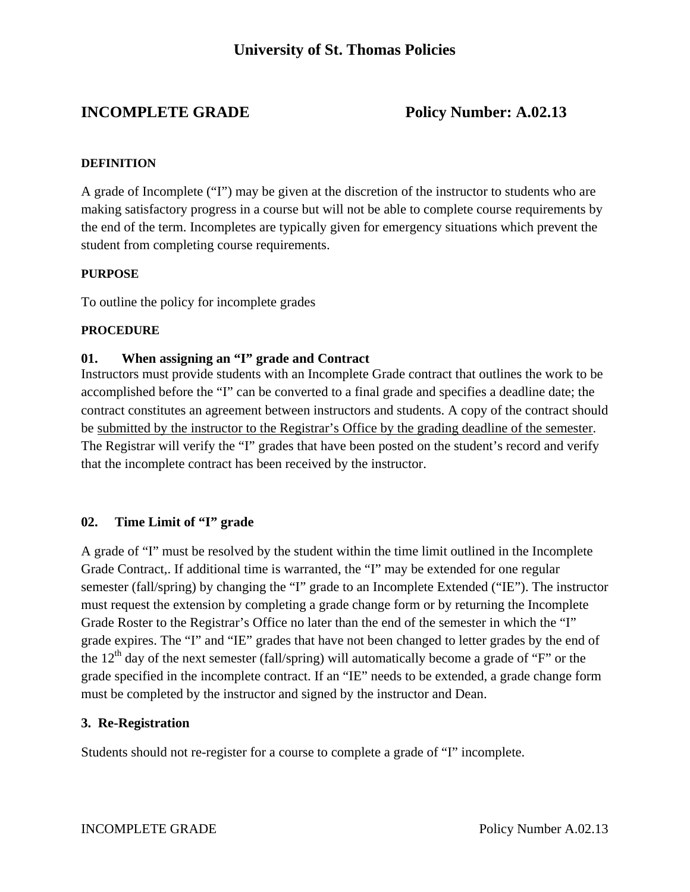# **INCOMPLETE GRADE** Policy Number: A.02.13

#### **DEFINITION**

A grade of Incomplete ("I") may be given at the discretion of the instructor to students who are making satisfactory progress in a course but will not be able to complete course requirements by the end of the term. Incompletes are typically given for emergency situations which prevent the student from completing course requirements.

### **PURPOSE**

To outline the policy for incomplete grades

### **PROCEDURE**

### **01. When assigning an "I" grade and Contract**

Instructors must provide students with an Incomplete Grade contract that outlines the work to be accomplished before the "I" can be converted to a final grade and specifies a deadline date; the contract constitutes an agreement between instructors and students. A copy of the contract should be submitted by the instructor to the Registrar's Office by the grading deadline of the semester. The Registrar will verify the "I" grades that have been posted on the student's record and verify that the incomplete contract has been received by the instructor.

### **02. Time Limit of "I" grade**

A grade of "I" must be resolved by the student within the time limit outlined in the Incomplete Grade Contract,. If additional time is warranted, the "I" may be extended for one regular semester (fall/spring) by changing the "I" grade to an Incomplete Extended ("IE"). The instructor must request the extension by completing a grade change form or by returning the Incomplete Grade Roster to the Registrar's Office no later than the end of the semester in which the "I" grade expires. The "I" and "IE" grades that have not been changed to letter grades by the end of the  $12<sup>th</sup>$  day of the next semester (fall/spring) will automatically become a grade of "F" or the grade specified in the incomplete contract. If an "IE" needs to be extended, a grade change form must be completed by the instructor and signed by the instructor and Dean.

### **3. Re-Registration**

Students should not re-register for a course to complete a grade of "I" incomplete.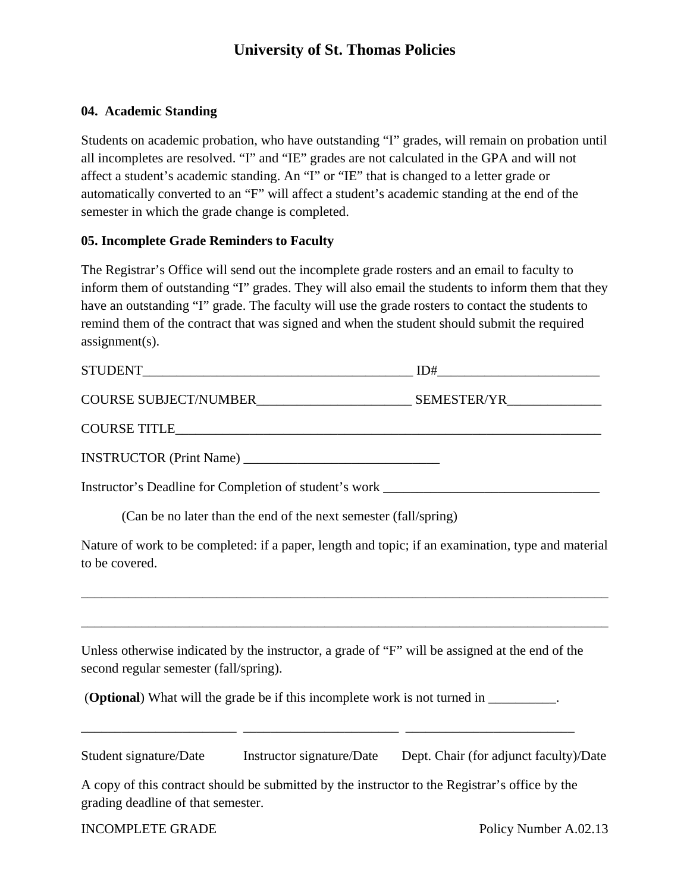# **University of St. Thomas Policies**

## **04. Academic Standing**

Students on academic probation, who have outstanding "I" grades, will remain on probation until all incompletes are resolved. "I" and "IE" grades are not calculated in the GPA and will not affect a student's academic standing. An "I" or "IE" that is changed to a letter grade or automatically converted to an "F" will affect a student's academic standing at the end of the semester in which the grade change is completed.

## **05. Incomplete Grade Reminders to Faculty**

The Registrar's Office will send out the incomplete grade rosters and an email to faculty to inform them of outstanding "I" grades. They will also email the students to inform them that they have an outstanding "I" grade. The faculty will use the grade rosters to contact the students to remind them of the contract that was signed and when the student should submit the required assignment(s).

|                                        |                                                                  | Instructor's Deadline for Completion of student's work __________________________                                                                                                                                      |
|----------------------------------------|------------------------------------------------------------------|------------------------------------------------------------------------------------------------------------------------------------------------------------------------------------------------------------------------|
|                                        | (Can be no later than the end of the next semester (fall/spring) |                                                                                                                                                                                                                        |
| to be covered.                         |                                                                  | Nature of work to be completed: if a paper, length and topic; if an examination, type and material                                                                                                                     |
| second regular semester (fall/spring). |                                                                  | Unless otherwise indicated by the instructor, a grade of "F" will be assigned at the end of the                                                                                                                        |
|                                        |                                                                  | ( <b>Optional</b> ) What will the grade be if this incomplete work is not turned in _________.<br><u> 2000 - 2000 - 2000 - 2000 - 2000 - 2000 - 2000 - 2000 - 2000 - 2000 - 2000 - 2000 - 2000 - 2000 - 2000 - 200</u> |
|                                        |                                                                  | Student signature/Date Instructor signature/Date Dept. Chair (for adjunct faculty)/Date                                                                                                                                |
| grading deadline of that semester.     |                                                                  | A copy of this contract should be submitted by the instructor to the Registrar's office by the                                                                                                                         |

INCOMPLETE GRADE Policy Number A.02.13